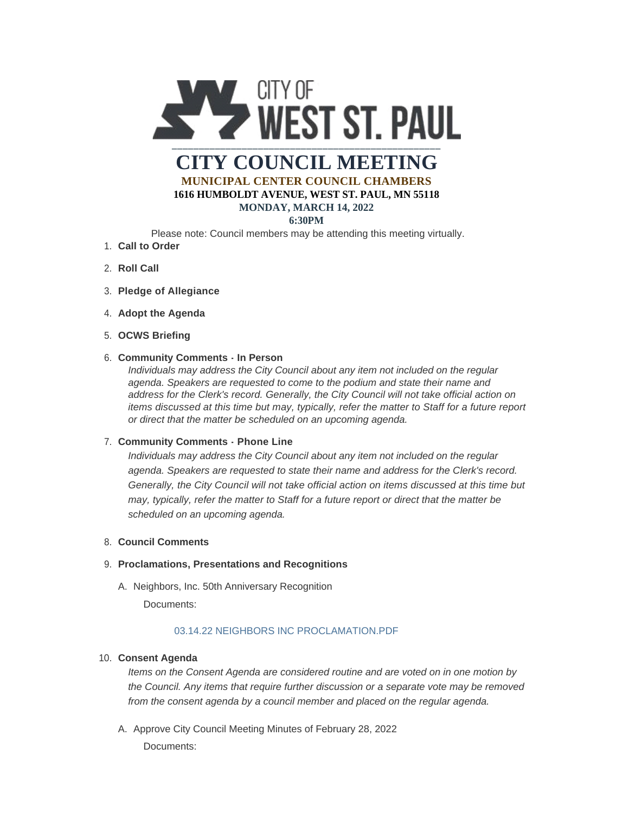

**MUNICIPAL CENTER COUNCIL CHAMBERS 1616 HUMBOLDT AVENUE, WEST ST. PAUL, MN 55118**

#### **MONDAY, MARCH 14, 2022 6:30PM**

Please note: Council members may be attending this meeting virtually.

- **Call to Order** 1.
- 2. **Roll Call**
- **Pledge of Allegiance** 3.
- 4. Adopt the Agenda
- **OCWS Briefing** 5.

### **Community Comments - In Person** 6.

*Individuals may address the City Council about any item not included on the regular agenda. Speakers are requested to come to the podium and state their name and address for the Clerk's record. Generally, the City Council will not take official action on items discussed at this time but may, typically, refer the matter to Staff for a future report or direct that the matter be scheduled on an upcoming agenda.*

### **Community Comments - Phone Line** 7.

*Individuals may address the City Council about any item not included on the regular agenda. Speakers are requested to state their name and address for the Clerk's record. Generally, the City Council will not take official action on items discussed at this time but may, typically, refer the matter to Staff for a future report or direct that the matter be scheduled on an upcoming agenda.*

### **Council Comments** 8.

# **Proclamations, Presentations and Recognitions** 9.

A. Neighbors, Inc. 50th Anniversary Recognition

Documents:

# [03.14.22 NEIGHBORS INC PROCLAMATION.PDF](https://www.wspmn.gov/AgendaCenter/ViewFile/Item/12647?fileID=19611)

# **Consent Agenda** 10.

*Items on the Consent Agenda are considered routine and are voted on in one motion by the Council. Any items that require further discussion or a separate vote may be removed from the consent agenda by a council member and placed on the regular agenda.*

A. Approve City Council Meeting Minutes of February 28, 2022 Documents: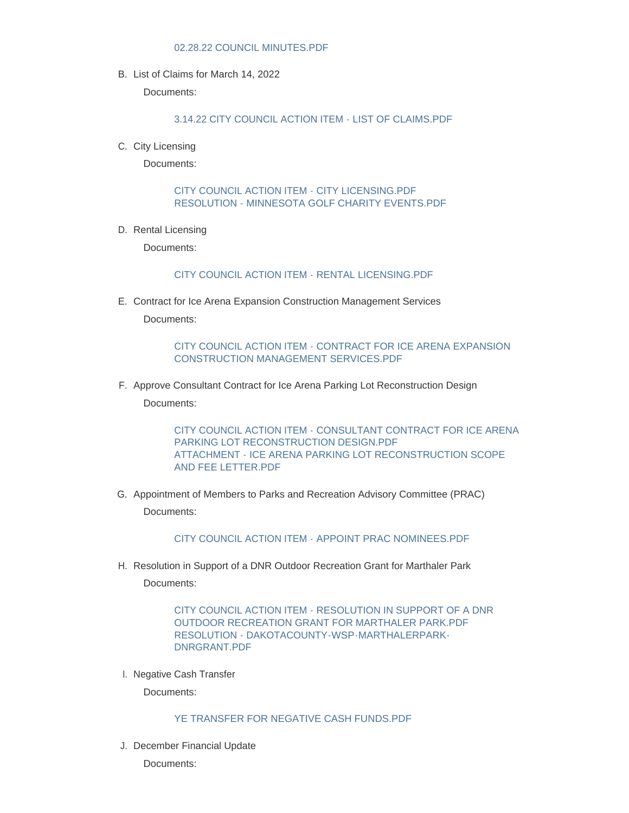#### [02.28.22 COUNCIL MINUTES.PDF](https://www.wspmn.gov/AgendaCenter/ViewFile/Item/12648?fileID=19624)

B. List of Claims for March 14, 2022

Documents:

[3.14.22 CITY COUNCIL ACTION ITEM - LIST OF CLAIMS.PDF](https://www.wspmn.gov/AgendaCenter/ViewFile/Item/12670?fileID=19630)

C. City Licensing

Documents:

[CITY COUNCIL ACTION ITEM - CITY LICENSING.PDF](https://www.wspmn.gov/AgendaCenter/ViewFile/Item/12650?fileID=19613) [RESOLUTION - MINNESOTA GOLF CHARITY EVENTS.PDF](https://www.wspmn.gov/AgendaCenter/ViewFile/Item/12650?fileID=19614)

D. Rental Licensing

Documents:

#### [CITY COUNCIL ACTION ITEM - RENTAL LICENSING.PDF](https://www.wspmn.gov/AgendaCenter/ViewFile/Item/12675?fileID=19654)

E. Contract for Ice Arena Expansion Construction Management Services

Documents:

[CITY COUNCIL ACTION ITEM - CONTRACT FOR ICE ARENA EXPANSION](https://www.wspmn.gov/AgendaCenter/ViewFile/Item/12676?fileID=19667)  CONSTRUCTION MANAGEMENT SERVICES.PDF

F. Approve Consultant Contract for Ice Arena Parking Lot Reconstruction Design

Documents:

[CITY COUNCIL ACTION ITEM - CONSULTANT CONTRACT FOR ICE ARENA](https://www.wspmn.gov/AgendaCenter/ViewFile/Item/12663?fileID=19633)  PARKING LOT RECONSTRUCTION DESIGN.PDF [ATTACHMENT - ICE ARENA PARKING LOT RECONSTRUCTION SCOPE](https://www.wspmn.gov/AgendaCenter/ViewFile/Item/12663?fileID=19634)  AND FEE LETTER.PDF

G. Appointment of Members to Parks and Recreation Advisory Committee (PRAC) Documents:

[CITY COUNCIL ACTION ITEM - APPOINT PRAC NOMINEES.PDF](https://www.wspmn.gov/AgendaCenter/ViewFile/Item/12594?fileID=19628)

H. Resolution in Support of a DNR Outdoor Recreation Grant for Marthaler Park Documents:

> [CITY COUNCIL ACTION ITEM - RESOLUTION IN SUPPORT OF A DNR](https://www.wspmn.gov/AgendaCenter/ViewFile/Item/12664?fileID=19635)  OUTDOOR RECREATION GRANT FOR MARTHALER PARK.PDF [RESOLUTION - DAKOTACOUNTY-WSP-MARTHALERPARK-](https://www.wspmn.gov/AgendaCenter/ViewFile/Item/12664?fileID=19636)DNRGRANT.PDF

I. Negative Cash Transfer

Documents:

#### [YE TRANSFER FOR NEGATIVE CASH FUNDS.PDF](https://www.wspmn.gov/AgendaCenter/ViewFile/Item/12652?fileID=19615)

J. December Financial Update

Documents: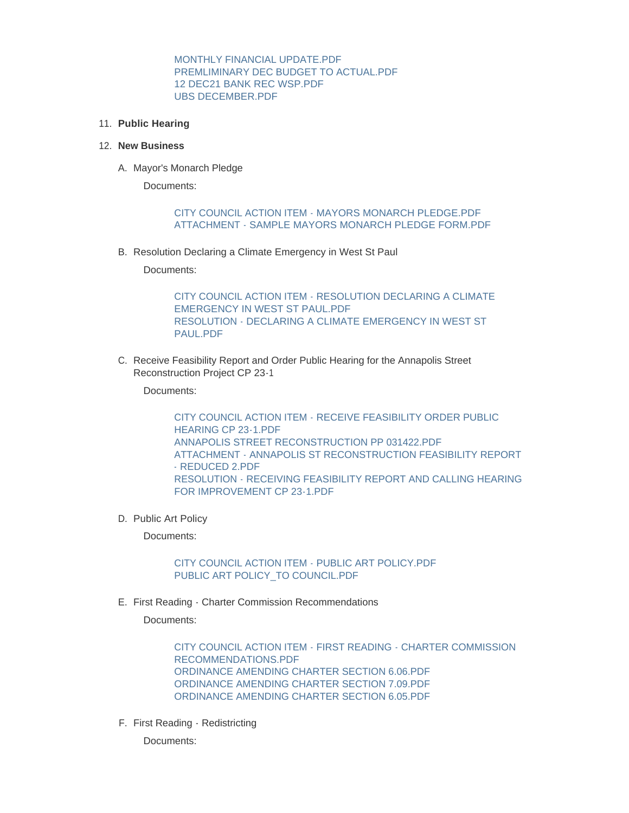[MONTHLY FINANCIAL UPDATE.PDF](https://www.wspmn.gov/AgendaCenter/ViewFile/Item/12651?fileID=19623) [PREMLIMINARY DEC BUDGET TO ACTUAL.PDF](https://www.wspmn.gov/AgendaCenter/ViewFile/Item/12651?fileID=19620) [12 DEC21 BANK REC WSP.PDF](https://www.wspmn.gov/AgendaCenter/ViewFile/Item/12651?fileID=19621) [UBS DECEMBER.PDF](https://www.wspmn.gov/AgendaCenter/ViewFile/Item/12651?fileID=19622)

**Public Hearing** 11.

#### **New Business** 12.

A. Mayor's Monarch Pledge

Documents:

### [CITY COUNCIL ACTION ITEM - MAYORS MONARCH PLEDGE.PDF](https://www.wspmn.gov/AgendaCenter/ViewFile/Item/12662?fileID=19637) [ATTACHMENT - SAMPLE MAYORS MONARCH PLEDGE FORM.PDF](https://www.wspmn.gov/AgendaCenter/ViewFile/Item/12662?fileID=19638)

B. Resolution Declaring a Climate Emergency in West St Paul

Documents:

[CITY COUNCIL ACTION ITEM - RESOLUTION DECLARING A CLIMATE](https://www.wspmn.gov/AgendaCenter/ViewFile/Item/12661?fileID=19646)  EMERGENCY IN WEST ST PAUL.PDF [RESOLUTION - DECLARING A CLIMATE EMERGENCY IN WEST ST](https://www.wspmn.gov/AgendaCenter/ViewFile/Item/12661?fileID=19645)  PAUL.PDF

C. Receive Feasibility Report and Order Public Hearing for the Annapolis Street Reconstruction Project CP 23-1

Documents:

[CITY COUNCIL ACTION ITEM - RECEIVE FEASIBILITY ORDER PUBLIC](https://www.wspmn.gov/AgendaCenter/ViewFile/Item/12683?fileID=19685)  HEARING CP 23-1.PDF [ANNAPOLIS STREET RECONSTRUCTION PP 031422.PDF](https://www.wspmn.gov/AgendaCenter/ViewFile/Item/12683?fileID=19686) [ATTACHMENT - ANNAPOLIS ST RECONSTRUCTION FEASIBILITY REPORT](https://www.wspmn.gov/AgendaCenter/ViewFile/Item/12683?fileID=19687)  - REDUCED 2.PDF [RESOLUTION - RECEIVING FEASIBILITY REPORT AND CALLING HEARING](https://www.wspmn.gov/AgendaCenter/ViewFile/Item/12683?fileID=19688)  FOR IMPROVEMENT CP 23-1.PDF

D. Public Art Policy

Documents:

[CITY COUNCIL ACTION ITEM - PUBLIC ART POLICY.PDF](https://www.wspmn.gov/AgendaCenter/ViewFile/Item/12669?fileID=19668) [PUBLIC ART POLICY\\_TO COUNCIL.PDF](https://www.wspmn.gov/AgendaCenter/ViewFile/Item/12669?fileID=19669)

First Reading - Charter Commission Recommendations E.

Documents:

[CITY COUNCIL ACTION ITEM - FIRST READING - CHARTER COMMISSION](https://www.wspmn.gov/AgendaCenter/ViewFile/Item/12665?fileID=19670)  RECOMMENDATIONS.PDF [ORDINANCE AMENDING CHARTER SECTION 6.06.PDF](https://www.wspmn.gov/AgendaCenter/ViewFile/Item/12665?fileID=19650) [ORDINANCE AMENDING CHARTER SECTION 7.09.PDF](https://www.wspmn.gov/AgendaCenter/ViewFile/Item/12665?fileID=19651) [ORDINANCE AMENDING CHARTER SECTION 6.05.PDF](https://www.wspmn.gov/AgendaCenter/ViewFile/Item/12665?fileID=19652)

F. First Reading - Redistricting

Documents: